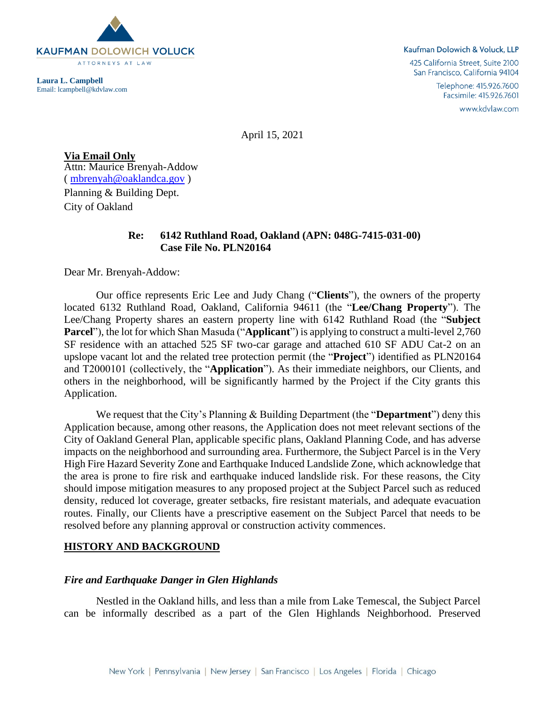

**Laura L. Campbell** Email: lcampbell@kdvlaw.com

#### Kaufman Dolowich & Voluck, LLP

425 California Street, Suite 2100 San Francisco, California 94104

> Telephone: 415.926.7600 Facsimile: 415.926.7601

> > www.kdvlaw.com

April 15, 2021

**Via Email Only** Attn: Maurice Brenyah-Addow ( [mbrenyah@oaklandca.gov](mailto:mbrenyah@oaklandca.gov) ) Planning & Building Dept. City of Oakland

### **Re: 6142 Ruthland Road, Oakland (APN: 048G-7415-031-00) Case File No. PLN20164**

Dear Mr. Brenyah-Addow:

Our office represents Eric Lee and Judy Chang ("**Clients**"), the owners of the property located 6132 Ruthland Road, Oakland, California 94611 (the "**Lee/Chang Property**"). The Lee/Chang Property shares an eastern property line with 6142 Ruthland Road (the "**Subject Parcel**"), the lot for which Shan Masuda ("**Applicant**") is applying to construct a multi-level 2,760 SF residence with an attached 525 SF two-car garage and attached 610 SF ADU Cat-2 on an upslope vacant lot and the related tree protection permit (the "**Project**") identified as PLN20164 and T2000101 (collectively, the "**Application**"). As their immediate neighbors, our Clients, and others in the neighborhood, will be significantly harmed by the Project if the City grants this Application.

We request that the City's Planning & Building Department (the "**Department**") deny this Application because, among other reasons, the Application does not meet relevant sections of the City of Oakland General Plan, applicable specific plans, Oakland Planning Code, and has adverse impacts on the neighborhood and surrounding area. Furthermore, the Subject Parcel is in the Very High Fire Hazard Severity Zone and Earthquake Induced Landslide Zone, which acknowledge that the area is prone to fire risk and earthquake induced landslide risk. For these reasons, the City should impose mitigation measures to any proposed project at the Subject Parcel such as reduced density, reduced lot coverage, greater setbacks, fire resistant materials, and adequate evacuation routes. Finally, our Clients have a prescriptive easement on the Subject Parcel that needs to be resolved before any planning approval or construction activity commences.

#### **HISTORY AND BACKGROUND**

#### *Fire and Earthquake Danger in Glen Highlands*

Nestled in the Oakland hills, and less than a mile from Lake Temescal, the Subject Parcel can be informally described as a part of the Glen Highlands Neighborhood. Preserved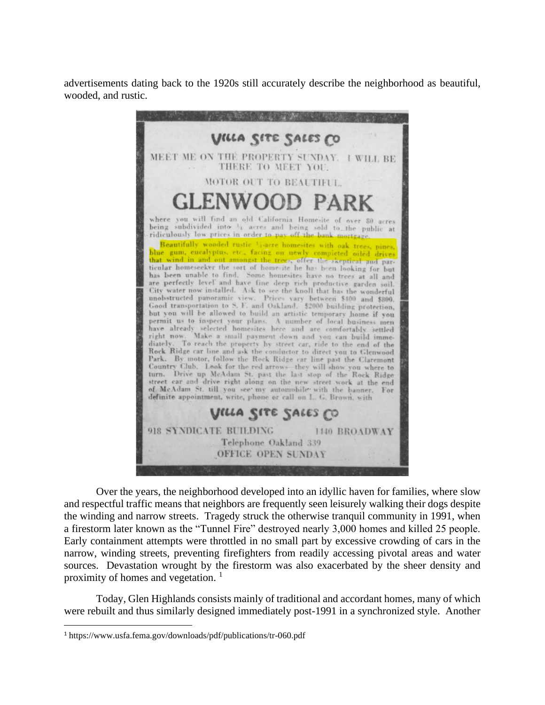advertisements dating back to the 1920s still accurately describe the neighborhood as beautiful, wooded, and rustic.



Over the years, the neighborhood developed into an idyllic haven for families, where slow and respectful traffic means that neighbors are frequently seen leisurely walking their dogs despite the winding and narrow streets. Tragedy struck the otherwise tranquil community in 1991, when a firestorm later known as the "Tunnel Fire" destroyed nearly 3,000 homes and killed 25 people. Early containment attempts were throttled in no small part by excessive crowding of cars in the narrow, winding streets, preventing firefighters from readily accessing pivotal areas and water sources. Devastation wrought by the firestorm was also exacerbated by the sheer density and proximity of homes and vegetation.<sup>1</sup>

Today, Glen Highlands consists mainly of traditional and accordant homes, many of which were rebuilt and thus similarly designed immediately post-1991 in a synchronized style. Another

<sup>1</sup> https://www.usfa.fema.gov/downloads/pdf/publications/tr-060.pdf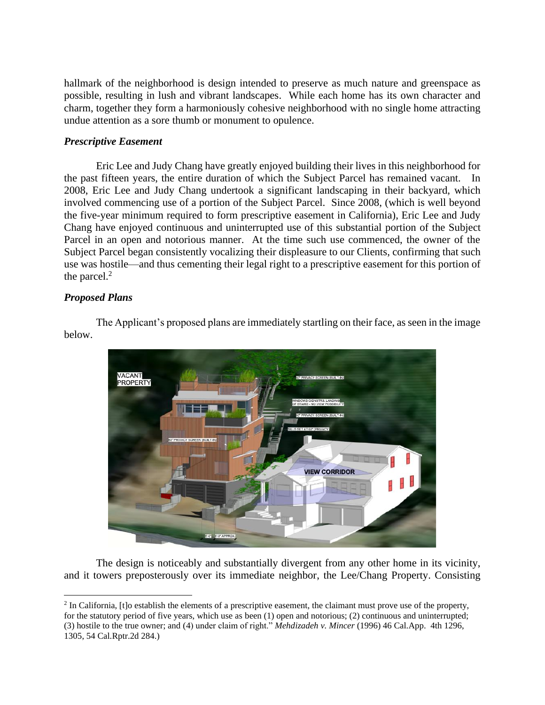hallmark of the neighborhood is design intended to preserve as much nature and greenspace as possible, resulting in lush and vibrant landscapes. While each home has its own character and charm, together they form a harmoniously cohesive neighborhood with no single home attracting undue attention as a sore thumb or monument to opulence.

## *Prescriptive Easement*

Eric Lee and Judy Chang have greatly enjoyed building their lives in this neighborhood for the past fifteen years, the entire duration of which the Subject Parcel has remained vacant. In 2008, Eric Lee and Judy Chang undertook a significant landscaping in their backyard, which involved commencing use of a portion of the Subject Parcel. Since 2008, (which is well beyond the five-year minimum required to form prescriptive easement in California), Eric Lee and Judy Chang have enjoyed continuous and uninterrupted use of this substantial portion of the Subject Parcel in an open and notorious manner. At the time such use commenced, the owner of the Subject Parcel began consistently vocalizing their displeasure to our Clients, confirming that such use was hostile—and thus cementing their legal right to a prescriptive easement for this portion of the parcel. $2$ 

# *Proposed Plans*

The Applicant's proposed plans are immediately startling on their face, as seen in the image below.



The design is noticeably and substantially divergent from any other home in its vicinity, and it towers preposterously over its immediate neighbor, the Lee/Chang Property. Consisting

<sup>&</sup>lt;sup>2</sup> In California, [t]o establish the elements of a prescriptive easement, the claimant must prove use of the property, for the statutory period of five years, which use as been (1) open and notorious; (2) continuous and uninterrupted; (3) hostile to the true owner; and (4) under claim of right." *Mehdizadeh v. Mincer* (1996) 46 Cal.App. 4th 1296, 1305, 54 Cal.Rptr.2d 284.)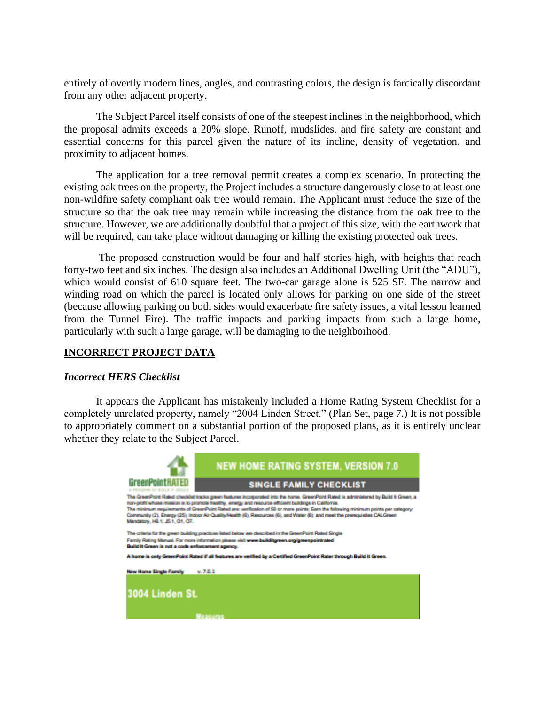entirely of overtly modern lines, angles, and contrasting colors, the design is farcically discordant from any other adjacent property.

The Subject Parcel itself consists of one of the steepest inclines in the neighborhood, which the proposal admits exceeds a 20% slope. Runoff, mudslides, and fire safety are constant and essential concerns for this parcel given the nature of its incline, density of vegetation, and proximity to adjacent homes.

The application for a tree removal permit creates a complex scenario. In protecting the existing oak trees on the property, the Project includes a structure dangerously close to at least one non-wildfire safety compliant oak tree would remain. The Applicant must reduce the size of the structure so that the oak tree may remain while increasing the distance from the oak tree to the structure. However, we are additionally doubtful that a project of this size, with the earthwork that will be required, can take place without damaging or killing the existing protected oak trees.

The proposed construction would be four and half stories high, with heights that reach forty-two feet and six inches. The design also includes an Additional Dwelling Unit (the "ADU"), which would consist of 610 square feet. The two-car garage alone is 525 SF. The narrow and winding road on which the parcel is located only allows for parking on one side of the street (because allowing parking on both sides would exacerbate fire safety issues, a vital lesson learned from the Tunnel Fire). The traffic impacts and parking impacts from such a large home, particularly with such a large garage, will be damaging to the neighborhood.

### **INCORRECT PROJECT DATA**

#### *Incorrect HERS Checklist*

It appears the Applicant has mistakenly included a Home Rating System Checklist for a completely unrelated property, namely "2004 Linden Street." (Plan Set, page 7.) It is not possible to appropriately comment on a substantial portion of the proposed plans, as it is entirely unclear whether they relate to the Subject Parcel.

|                                                                                                                                                                                                                                                                                                                                                                                                                                                                                                                                                          | <b>NEW HOME RATING SYSTEM, VERSION 7.0</b> |
|----------------------------------------------------------------------------------------------------------------------------------------------------------------------------------------------------------------------------------------------------------------------------------------------------------------------------------------------------------------------------------------------------------------------------------------------------------------------------------------------------------------------------------------------------------|--------------------------------------------|
|                                                                                                                                                                                                                                                                                                                                                                                                                                                                                                                                                          | <b>SINGLE FAMILY CHECKLIST</b>             |
| The GreenPoint Rated checklet tracks green features incorporated into the home. GreenPoint Rated is administered by Build It Green, a<br>non-grofit whose mission is to prompte healthy, energy and resource efficient buildings in California.<br>The minimum requirements of GreenPoint Rated are: verification of 50 or more solints: Earn the following minimum points per category;<br>Community (2), Energy (25), Indoor Air Quality/Health (6), Resources (6), and Water (6); and meet the premoviaties CALGreen<br>Mandaton, H6.1, J5.1, O1. O7. |                                            |
| The criteria for the green building practices listed below are described in the GreenPoint Rated Single<br>Family Rating Manual, For more information clease visit www.builditgreen.org/greenpolintrated<br>Build it Green is not a code enforcement agency.                                                                                                                                                                                                                                                                                             |                                            |
| A home is only GreenPoint Rated if all features are verified by a Certified GreenPoint Rater through Build it Green.                                                                                                                                                                                                                                                                                                                                                                                                                                     |                                            |
| New Home Single Family                                                                                                                                                                                                                                                                                                                                                                                                                                                                                                                                   | 9.701                                      |
| 3004 Linden St.                                                                                                                                                                                                                                                                                                                                                                                                                                                                                                                                          |                                            |
|                                                                                                                                                                                                                                                                                                                                                                                                                                                                                                                                                          |                                            |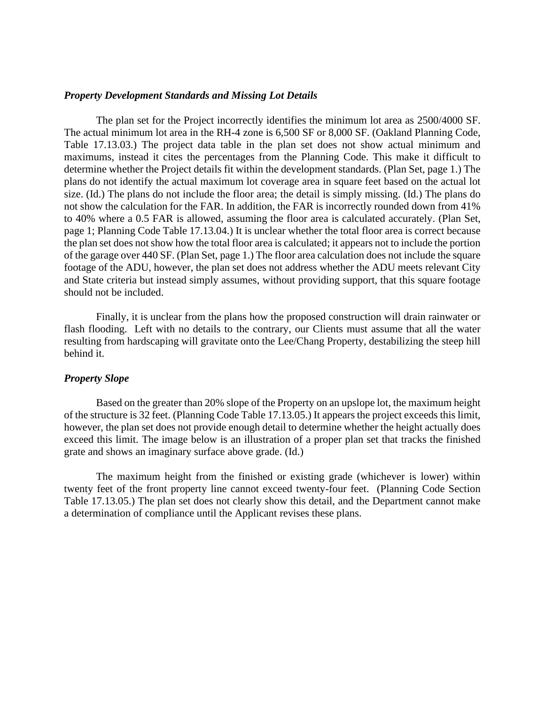#### *Property Development Standards and Missing Lot Details*

The plan set for the Project incorrectly identifies the minimum lot area as 2500/4000 SF. The actual minimum lot area in the RH-4 zone is 6,500 SF or 8,000 SF. (Oakland Planning Code, Table 17.13.03.) The project data table in the plan set does not show actual minimum and maximums, instead it cites the percentages from the Planning Code. This make it difficult to determine whether the Project details fit within the development standards. (Plan Set, page 1.) The plans do not identify the actual maximum lot coverage area in square feet based on the actual lot size. (Id.) The plans do not include the floor area; the detail is simply missing. (Id.) The plans do not show the calculation for the FAR. In addition, the FAR is incorrectly rounded down from 41% to 40% where a 0.5 FAR is allowed, assuming the floor area is calculated accurately. (Plan Set, page 1; Planning Code Table 17.13.04.) It is unclear whether the total floor area is correct because the plan set does not show how the total floor area is calculated; it appears not to include the portion of the garage over 440 SF. (Plan Set, page 1.) The floor area calculation does not include the square footage of the ADU, however, the plan set does not address whether the ADU meets relevant City and State criteria but instead simply assumes, without providing support, that this square footage should not be included.

Finally, it is unclear from the plans how the proposed construction will drain rainwater or flash flooding. Left with no details to the contrary, our Clients must assume that all the water resulting from hardscaping will gravitate onto the Lee/Chang Property, destabilizing the steep hill behind it.

### *Property Slope*

Based on the greater than 20% slope of the Property on an upslope lot, the maximum height of the structure is 32 feet. (Planning Code Table 17.13.05.) It appears the project exceeds this limit, however, the plan set does not provide enough detail to determine whether the height actually does exceed this limit. The image below is an illustration of a proper plan set that tracks the finished grate and shows an imaginary surface above grade. (Id.)

The maximum height from the finished or existing grade (whichever is lower) within twenty feet of the front property line cannot exceed twenty-four feet. (Planning Code Section Table 17.13.05.) The plan set does not clearly show this detail, and the Department cannot make a determination of compliance until the Applicant revises these plans.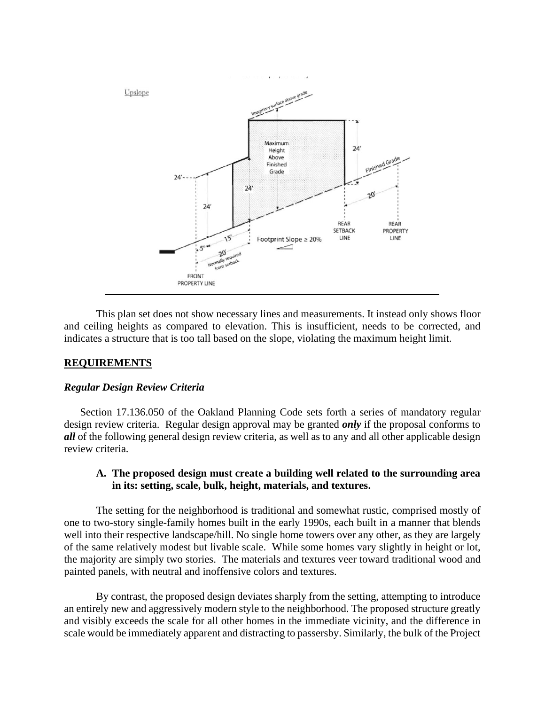

This plan set does not show necessary lines and measurements. It instead only shows floor and ceiling heights as compared to elevation. This is insufficient, needs to be corrected, and indicates a structure that is too tall based on the slope, violating the maximum height limit.

### **REQUIREMENTS**

#### *Regular Design Review Criteria*

Section 17.136.050 of the Oakland Planning Code sets forth a series of mandatory regular design review criteria. Regular design approval may be granted *only* if the proposal conforms to *all* of the following general design review criteria, as well as to any and all other applicable design review criteria.

### **A. The proposed design must create a building well related to the surrounding area in its: setting, scale, bulk, height, materials, and textures.**

The setting for the neighborhood is traditional and somewhat rustic, comprised mostly of one to two-story single-family homes built in the early 1990s, each built in a manner that blends well into their respective landscape/hill. No single home towers over any other, as they are largely of the same relatively modest but livable scale. While some homes vary slightly in height or lot, the majority are simply two stories. The materials and textures veer toward traditional wood and painted panels, with neutral and inoffensive colors and textures.

By contrast, the proposed design deviates sharply from the setting, attempting to introduce an entirely new and aggressively modern style to the neighborhood. The proposed structure greatly and visibly exceeds the scale for all other homes in the immediate vicinity, and the difference in scale would be immediately apparent and distracting to passersby. Similarly, the bulk of the Project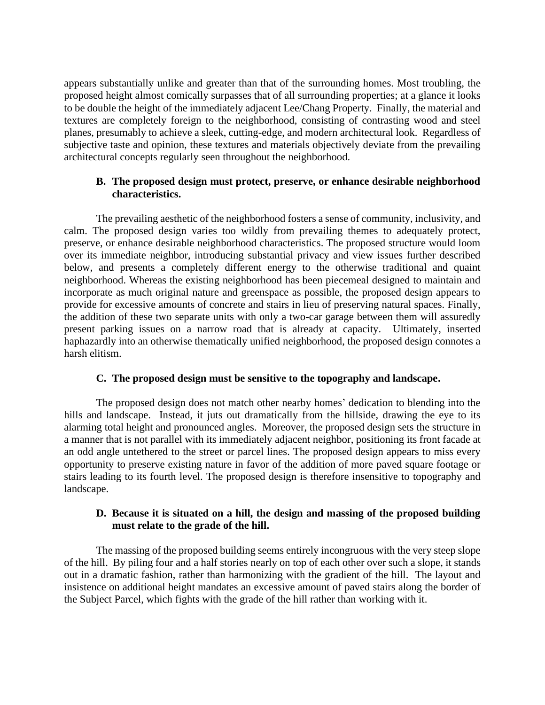appears substantially unlike and greater than that of the surrounding homes. Most troubling, the proposed height almost comically surpasses that of all surrounding properties; at a glance it looks to be double the height of the immediately adjacent Lee/Chang Property. Finally, the material and textures are completely foreign to the neighborhood, consisting of contrasting wood and steel planes, presumably to achieve a sleek, cutting-edge, and modern architectural look. Regardless of subjective taste and opinion, these textures and materials objectively deviate from the prevailing architectural concepts regularly seen throughout the neighborhood.

# **B. The proposed design must protect, preserve, or enhance desirable neighborhood characteristics.**

The prevailing aesthetic of the neighborhood fosters a sense of community, inclusivity, and calm. The proposed design varies too wildly from prevailing themes to adequately protect, preserve, or enhance desirable neighborhood characteristics. The proposed structure would loom over its immediate neighbor, introducing substantial privacy and view issues further described below, and presents a completely different energy to the otherwise traditional and quaint neighborhood. Whereas the existing neighborhood has been piecemeal designed to maintain and incorporate as much original nature and greenspace as possible, the proposed design appears to provide for excessive amounts of concrete and stairs in lieu of preserving natural spaces. Finally, the addition of these two separate units with only a two-car garage between them will assuredly present parking issues on a narrow road that is already at capacity. Ultimately, inserted haphazardly into an otherwise thematically unified neighborhood, the proposed design connotes a harsh elitism.

### **C. The proposed design must be sensitive to the topography and landscape.**

The proposed design does not match other nearby homes' dedication to blending into the hills and landscape. Instead, it juts out dramatically from the hillside, drawing the eye to its alarming total height and pronounced angles. Moreover, the proposed design sets the structure in a manner that is not parallel with its immediately adjacent neighbor, positioning its front facade at an odd angle untethered to the street or parcel lines. The proposed design appears to miss every opportunity to preserve existing nature in favor of the addition of more paved square footage or stairs leading to its fourth level. The proposed design is therefore insensitive to topography and landscape.

# **D. Because it is situated on a hill, the design and massing of the proposed building must relate to the grade of the hill.**

The massing of the proposed building seems entirely incongruous with the very steep slope of the hill. By piling four and a half stories nearly on top of each other over such a slope, it stands out in a dramatic fashion, rather than harmonizing with the gradient of the hill. The layout and insistence on additional height mandates an excessive amount of paved stairs along the border of the Subject Parcel, which fights with the grade of the hill rather than working with it.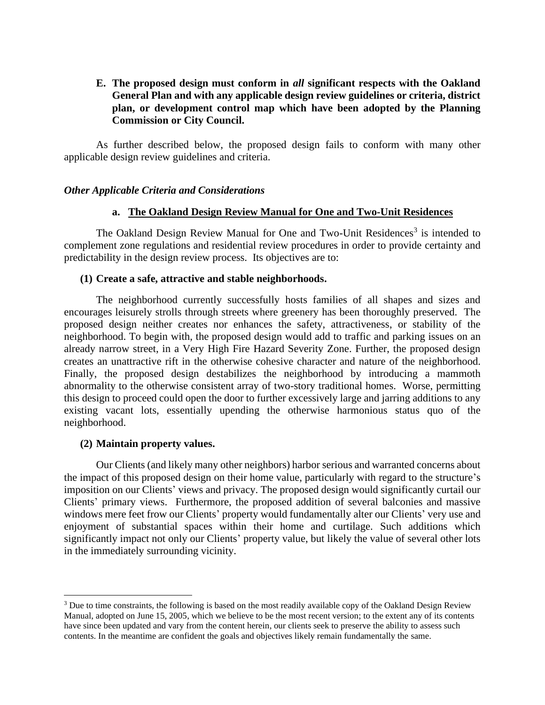# **E. The proposed design must conform in** *all* **significant respects with the Oakland General Plan and with any applicable design review guidelines or criteria, district plan, or development control map which have been adopted by the Planning Commission or City Council.**

As further described below, the proposed design fails to conform with many other applicable design review guidelines and criteria.

### *Other Applicable Criteria and Considerations*

#### **a. The Oakland Design Review Manual for One and Two-Unit Residences**

The Oakland Design Review Manual for One and Two-Unit Residences<sup>3</sup> is intended to complement zone regulations and residential review procedures in order to provide certainty and predictability in the design review process. Its objectives are to:

### **(1) Create a safe, attractive and stable neighborhoods.**

The neighborhood currently successfully hosts families of all shapes and sizes and encourages leisurely strolls through streets where greenery has been thoroughly preserved. The proposed design neither creates nor enhances the safety, attractiveness, or stability of the neighborhood. To begin with, the proposed design would add to traffic and parking issues on an already narrow street, in a Very High Fire Hazard Severity Zone. Further, the proposed design creates an unattractive rift in the otherwise cohesive character and nature of the neighborhood. Finally, the proposed design destabilizes the neighborhood by introducing a mammoth abnormality to the otherwise consistent array of two-story traditional homes. Worse, permitting this design to proceed could open the door to further excessively large and jarring additions to any existing vacant lots, essentially upending the otherwise harmonious status quo of the neighborhood.

#### **(2) Maintain property values.**

Our Clients (and likely many other neighbors) harbor serious and warranted concerns about the impact of this proposed design on their home value, particularly with regard to the structure's imposition on our Clients' views and privacy. The proposed design would significantly curtail our Clients' primary views. Furthermore, the proposed addition of several balconies and massive windows mere feet frow our Clients' property would fundamentally alter our Clients' very use and enjoyment of substantial spaces within their home and curtilage. Such additions which significantly impact not only our Clients' property value, but likely the value of several other lots in the immediately surrounding vicinity.

<sup>&</sup>lt;sup>3</sup> Due to time constraints, the following is based on the most readily available copy of the Oakland Design Review Manual, adopted on June 15, 2005, which we believe to be the most recent version; to the extent any of its contents have since been updated and vary from the content herein, our clients seek to preserve the ability to assess such contents. In the meantime are confident the goals and objectives likely remain fundamentally the same.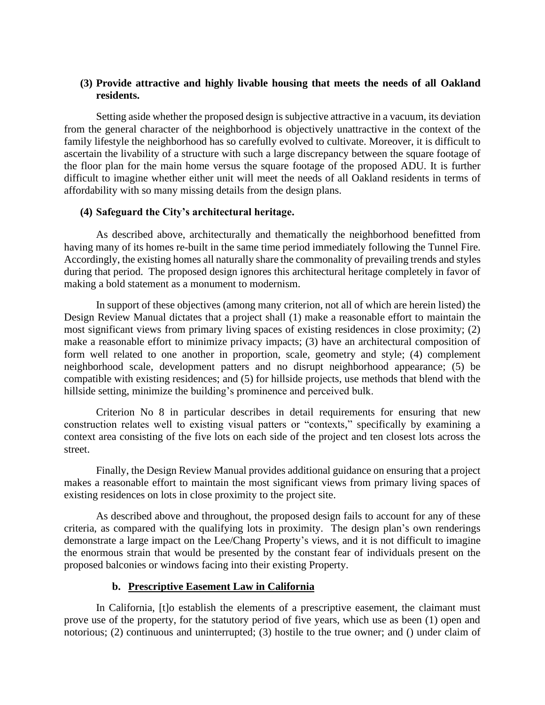# **(3) Provide attractive and highly livable housing that meets the needs of all Oakland residents.**

Setting aside whether the proposed design is subjective attractive in a vacuum, its deviation from the general character of the neighborhood is objectively unattractive in the context of the family lifestyle the neighborhood has so carefully evolved to cultivate. Moreover, it is difficult to ascertain the livability of a structure with such a large discrepancy between the square footage of the floor plan for the main home versus the square footage of the proposed ADU. It is further difficult to imagine whether either unit will meet the needs of all Oakland residents in terms of affordability with so many missing details from the design plans.

### **(4) Safeguard the City's architectural heritage.**

As described above, architecturally and thematically the neighborhood benefitted from having many of its homes re-built in the same time period immediately following the Tunnel Fire. Accordingly, the existing homes all naturally share the commonality of prevailing trends and styles during that period. The proposed design ignores this architectural heritage completely in favor of making a bold statement as a monument to modernism.

In support of these objectives (among many criterion, not all of which are herein listed) the Design Review Manual dictates that a project shall (1) make a reasonable effort to maintain the most significant views from primary living spaces of existing residences in close proximity; (2) make a reasonable effort to minimize privacy impacts; (3) have an architectural composition of form well related to one another in proportion, scale, geometry and style; (4) complement neighborhood scale, development patters and no disrupt neighborhood appearance; (5) be compatible with existing residences; and (5) for hillside projects, use methods that blend with the hillside setting, minimize the building's prominence and perceived bulk.

Criterion No 8 in particular describes in detail requirements for ensuring that new construction relates well to existing visual patters or "contexts," specifically by examining a context area consisting of the five lots on each side of the project and ten closest lots across the street.

Finally, the Design Review Manual provides additional guidance on ensuring that a project makes a reasonable effort to maintain the most significant views from primary living spaces of existing residences on lots in close proximity to the project site.

As described above and throughout, the proposed design fails to account for any of these criteria, as compared with the qualifying lots in proximity. The design plan's own renderings demonstrate a large impact on the Lee/Chang Property's views, and it is not difficult to imagine the enormous strain that would be presented by the constant fear of individuals present on the proposed balconies or windows facing into their existing Property.

### **b. Prescriptive Easement Law in California**

In California, [t]o establish the elements of a prescriptive easement, the claimant must prove use of the property, for the statutory period of five years, which use as been (1) open and notorious; (2) continuous and uninterrupted; (3) hostile to the true owner; and () under claim of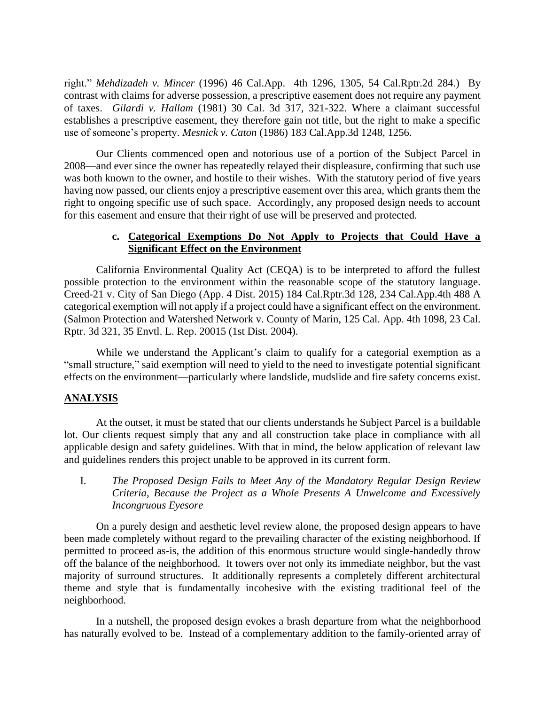right." *Mehdizadeh v. Mincer* (1996) 46 Cal.App. 4th 1296, 1305, 54 Cal.Rptr.2d 284.) By contrast with claims for adverse possession, a prescriptive easement does not require any payment of taxes. *Gilardi v. Hallam* (1981) 30 Cal. 3d 317, 321-322. Where a claimant successful establishes a prescriptive easement, they therefore gain not title, but the right to make a specific use of someone's property. *Mesnick v. Caton* (1986) 183 Cal.App.3d 1248, 1256.

Our Clients commenced open and notorious use of a portion of the Subject Parcel in 2008—and ever since the owner has repeatedly relayed their displeasure, confirming that such use was both known to the owner, and hostile to their wishes. With the statutory period of five years having now passed, our clients enjoy a prescriptive easement over this area, which grants them the right to ongoing specific use of such space. Accordingly, any proposed design needs to account for this easement and ensure that their right of use will be preserved and protected.

# **c. Categorical Exemptions Do Not Apply to Projects that Could Have a Significant Effect on the Environment**

California Environmental Quality Act (CEQA) is to be interpreted to afford the fullest possible protection to the environment within the reasonable scope of the statutory language. Creed-21 v. City of San Diego (App. 4 Dist. 2015) 184 Cal.Rptr.3d 128, 234 Cal.App.4th 488 A categorical exemption will not apply if a project could have a significant effect on the environment. (Salmon Protection and Watershed Network v. County of Marin, 125 Cal. App. 4th 1098, 23 Cal. Rptr. 3d 321, 35 Envtl. L. Rep. 20015 (1st Dist. 2004).

While we understand the Applicant's claim to qualify for a categorial exemption as a "small structure," said exemption will need to yield to the need to investigate potential significant effects on the environment—particularly where landslide, mudslide and fire safety concerns exist.

### **ANALYSIS**

At the outset, it must be stated that our clients understands he Subject Parcel is a buildable lot. Our clients request simply that any and all construction take place in compliance with all applicable design and safety guidelines. With that in mind, the below application of relevant law and guidelines renders this project unable to be approved in its current form.

I. *The Proposed Design Fails to Meet Any of the Mandatory Regular Design Review Criteria, Because the Project as a Whole Presents A Unwelcome and Excessively Incongruous Eyesore*

On a purely design and aesthetic level review alone, the proposed design appears to have been made completely without regard to the prevailing character of the existing neighborhood. If permitted to proceed as-is, the addition of this enormous structure would single-handedly throw off the balance of the neighborhood. It towers over not only its immediate neighbor, but the vast majority of surround structures. It additionally represents a completely different architectural theme and style that is fundamentally incohesive with the existing traditional feel of the neighborhood.

In a nutshell, the proposed design evokes a brash departure from what the neighborhood has naturally evolved to be. Instead of a complementary addition to the family-oriented array of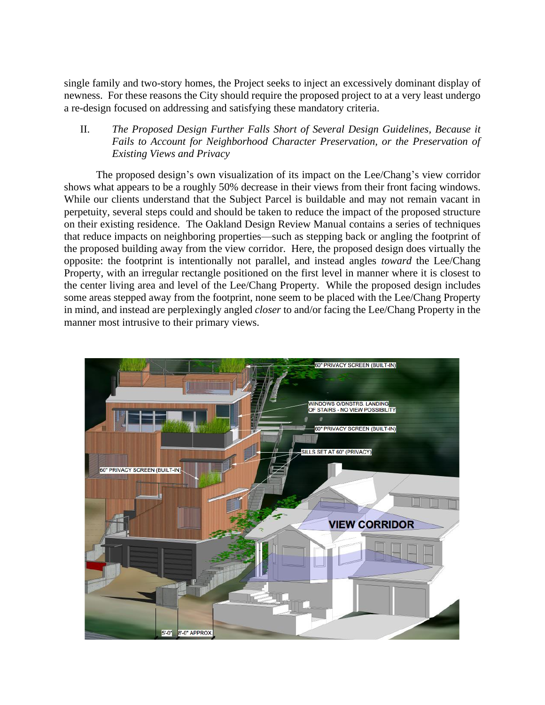single family and two-story homes, the Project seeks to inject an excessively dominant display of newness. For these reasons the City should require the proposed project to at a very least undergo a re-design focused on addressing and satisfying these mandatory criteria.

# II. *The Proposed Design Further Falls Short of Several Design Guidelines, Because it Fails to Account for Neighborhood Character Preservation, or the Preservation of Existing Views and Privacy*

The proposed design's own visualization of its impact on the Lee/Chang's view corridor shows what appears to be a roughly 50% decrease in their views from their front facing windows. While our clients understand that the Subject Parcel is buildable and may not remain vacant in perpetuity, several steps could and should be taken to reduce the impact of the proposed structure on their existing residence. The Oakland Design Review Manual contains a series of techniques that reduce impacts on neighboring properties—such as stepping back or angling the footprint of the proposed building away from the view corridor. Here, the proposed design does virtually the opposite: the footprint is intentionally not parallel, and instead angles *toward* the Lee/Chang Property, with an irregular rectangle positioned on the first level in manner where it is closest to the center living area and level of the Lee/Chang Property. While the proposed design includes some areas stepped away from the footprint, none seem to be placed with the Lee/Chang Property in mind, and instead are perplexingly angled *closer* to and/or facing the Lee/Chang Property in the manner most intrusive to their primary views.

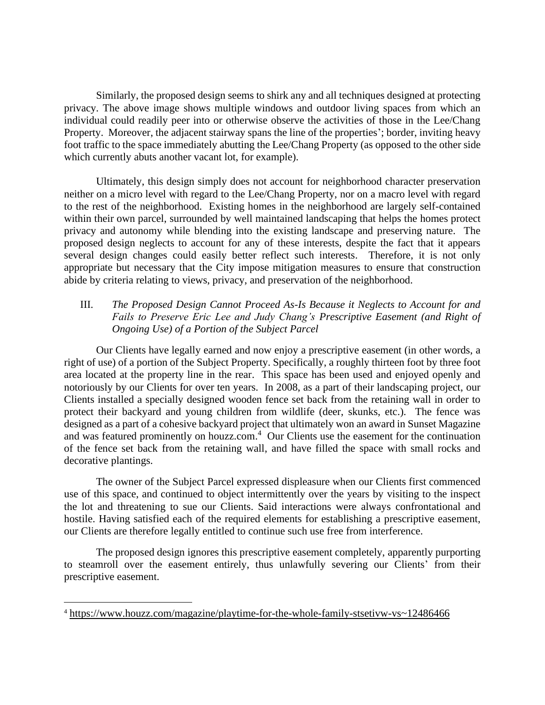Similarly, the proposed design seems to shirk any and all techniques designed at protecting privacy. The above image shows multiple windows and outdoor living spaces from which an individual could readily peer into or otherwise observe the activities of those in the Lee/Chang Property. Moreover, the adjacent stairway spans the line of the properties'; border, inviting heavy foot traffic to the space immediately abutting the Lee/Chang Property (as opposed to the other side which currently abuts another vacant lot, for example).

Ultimately, this design simply does not account for neighborhood character preservation neither on a micro level with regard to the Lee/Chang Property, nor on a macro level with regard to the rest of the neighborhood. Existing homes in the neighborhood are largely self-contained within their own parcel, surrounded by well maintained landscaping that helps the homes protect privacy and autonomy while blending into the existing landscape and preserving nature. The proposed design neglects to account for any of these interests, despite the fact that it appears several design changes could easily better reflect such interests. Therefore, it is not only appropriate but necessary that the City impose mitigation measures to ensure that construction abide by criteria relating to views, privacy, and preservation of the neighborhood.

# III. *The Proposed Design Cannot Proceed As-Is Because it Neglects to Account for and Fails to Preserve Eric Lee and Judy Chang's Prescriptive Easement (and Right of Ongoing Use) of a Portion of the Subject Parcel*

Our Clients have legally earned and now enjoy a prescriptive easement (in other words, a right of use) of a portion of the Subject Property. Specifically, a roughly thirteen foot by three foot area located at the property line in the rear. This space has been used and enjoyed openly and notoriously by our Clients for over ten years. In 2008, as a part of their landscaping project, our Clients installed a specially designed wooden fence set back from the retaining wall in order to protect their backyard and young children from wildlife (deer, skunks, etc.). The fence was designed as a part of a cohesive backyard project that ultimately won an award in Sunset Magazine and was featured prominently on houzz.com. <sup>4</sup> Our Clients use the easement for the continuation of the fence set back from the retaining wall, and have filled the space with small rocks and decorative plantings.

The owner of the Subject Parcel expressed displeasure when our Clients first commenced use of this space, and continued to object intermittently over the years by visiting to the inspect the lot and threatening to sue our Clients. Said interactions were always confrontational and hostile. Having satisfied each of the required elements for establishing a prescriptive easement, our Clients are therefore legally entitled to continue such use free from interference.

The proposed design ignores this prescriptive easement completely, apparently purporting to steamroll over the easement entirely, thus unlawfully severing our Clients' from their prescriptive easement.

<sup>4</sup> <https://www.houzz.com/magazine/playtime-for-the-whole-family-stsetivw-vs~12486466>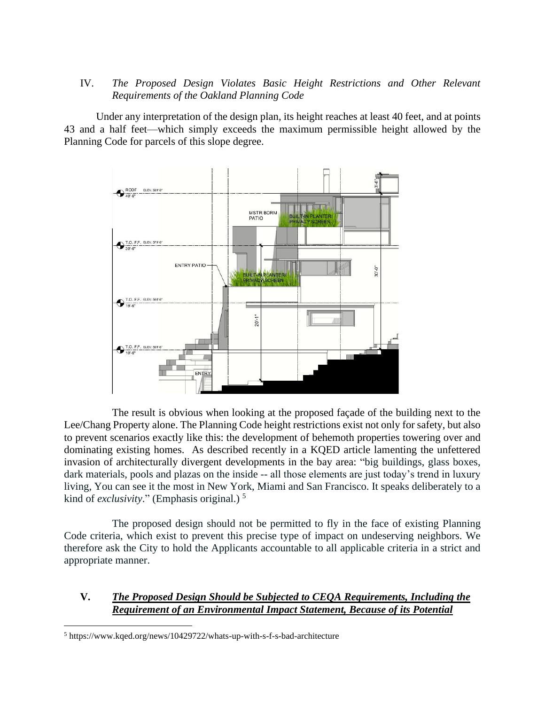# IV. *The Proposed Design Violates Basic Height Restrictions and Other Relevant Requirements of the Oakland Planning Code*

Under any interpretation of the design plan, its height reaches at least 40 feet, and at points 43 and a half feet—which simply exceeds the maximum permissible height allowed by the Planning Code for parcels of this slope degree.



The result is obvious when looking at the proposed façade of the building next to the Lee/Chang Property alone. The Planning Code height restrictions exist not only for safety, but also to prevent scenarios exactly like this: the development of behemoth properties towering over and dominating existing homes. As described recently in a KQED article lamenting the unfettered invasion of architecturally divergent developments in the bay area: "big buildings, glass boxes, dark materials, pools and plazas on the inside -- all those elements are just today's trend in luxury living, You can see it the most in New York, Miami and San Francisco. It speaks deliberately to a kind of *exclusivity*." (Emphasis original.) 5

The proposed design should not be permitted to fly in the face of existing Planning Code criteria, which exist to prevent this precise type of impact on undeserving neighbors. We therefore ask the City to hold the Applicants accountable to all applicable criteria in a strict and appropriate manner.

# **V.** *The Proposed Design Should be Subjected to CEQA Requirements, Including the Requirement of an Environmental Impact Statement, Because of its Potential*

<sup>5</sup> https://www.kqed.org/news/10429722/whats-up-with-s-f-s-bad-architecture